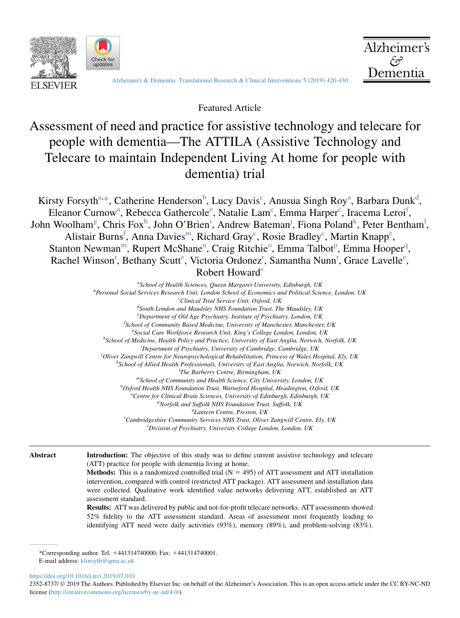



[Alzheimer's & Dementia: Translational Research & Clinical Interventions 5 \(2019\) 420-430](https://doi.org/10.1016/j.trci.2019.07.010)

Alzheimer's

تهجم Dementia

Featured Article

# Assessment of need and practice for assistive technology and telecare for people with dementia—The ATTILA (Assistive Technology and Telecare to maintain Independent Living At home for people with dementia) trial

Kirsty Forsyth<sup>a,\*</sup>, Catherine Henderson<sup>b</sup>, Lucy Davis<sup>c</sup>, Anusua Singh Roy<sup>a</sup>, Barbara Dunk<sup>d</sup>, Eleanor Curnow<sup>a</sup>, Rebecca Gathercole<sup>e</sup>, Natalie Lam<sup>c</sup>, Emma Harper<sup>c</sup>, Iracema Leroi<sup>f</sup>, John Woolham<sup>g</sup>, Chris Fox<sup>h</sup>, John O'Brien<sup>i</sup>, Andrew Bateman<sup>j</sup>, Fiona Poland<sup>k</sup>, Peter Bentham<sup>1</sup>, Alistair Burns<sup>f</sup>, Anna Davies<sup>m</sup>, Richard Gray<sup>c</sup>, Rosie Bradley<sup>c</sup>, Martin Knapp<sup>e</sup>, Stanton Newman<sup>m</sup>, Rupert McShane<sup>n</sup>, Craig Ritchie<sup>o</sup>, Emma Talbot<sup>p</sup>, Emma Hooper<sup>q</sup>, Rachel Winson<sup>r</sup>, Bethany Scutt<sup>e</sup>, Victoria Ordonez<sup>r</sup>, Samantha Nunn<sup>r</sup>, Grace Lavelle<sup>e</sup>, Robert Howard<sup>s</sup>

> <sup>a</sup>School of Health Sciences, Queen Margaret University, Edinburgh, UK<br><sup>b</sup>Parsonal Social Samicas Passarch Unit London School of Economics and Political Science <sup>b</sup>Personal Social Services Research Unit, London School of Economics and Political Science, London, UK  ${}^{c}$ Clinical Trial Service Unit, Oxford, UK <sup>d</sup>South London and Maudsley NHS Foundation Trust, The Maudsley, UK <sup>e</sup>Department of Old Age Psychiatry, Institute of Psychiatry, London, UK *f School of Community Based Medicine, University of Manchester, Manchester, UK*<br>SSocial Care Workforce Besearch Unit, King's College London, London, UK Social Care Workforce Research Unit, King's College London, London, UK <sup>h</sup> School of Medicine, Health Policy and Practice, University of East Anglia, Norwich, Norfolk, UK<br><sup>i</sup> Department of Psychiatry University of Cambridge, Cambridge, UK <sup>i</sup>Department of Psychiatry, University of Cambridge, Cambridge, UK j Oliver Zangwill Centre for Neuropsychological Rehabilitation, Princess of Wales Hospital, Ely, UK <sup>k</sup>  $k$ School of Allied Health Professionals, University of East Anglia, Norwich, Norfolk, UK  ${}^{l}$ The Barberry Centre, Birmingham, UK <sup>m</sup>School of Community and Health Science, City University, London, UK Oxford Health NHS Foundation Trust, Warneford Hospital, Headington, Oxford, UK <sup>o</sup> Centre for Clinical Brain Sciences, University of Edinburgh, Edinburgh, UK<br>PNorfolk and Suffolk NHS Foundation Trust, Suffolk, UK  $P$ Norfolk and Suffolk NHS Foundation Trust, Suffolk, UK<br>
> <sup>q</sup>Lantern Centre, Preston, UK <sup>9</sup> Lantern Centre, Preston, UK<br>Cambridgeshire Community Services NHS Trust, Oliver Zangwill Centre, Ely, UK<sup>r</sup> s Division of Psychiatry, University College London, London, UK

Abstract Introduction: The objective of this study was to define current assistive technology and telecare (ATT) practice for people with dementia living at home.

> **Methods:** This is a randomized controlled trial  $(N = 495)$  of ATT assessment and ATT installation intervention, compared with control (restricted ATT package). ATT assessment and installation data were collected. Qualitative work identified value networks delivering ATT, established an ATT assessment standard.

> Results: ATT was delivered by public and not-for-profit telecare networks. ATT assessments showed 52% fidelity to the ATT assessment standard. Areas of assessment most frequently leading to identifying ATT need were daily activities (93%), memory (89%), and problem-solving (83%).

\*Corresponding author. Tel. 1441314740000; Fax: 1441314740001. E-mail address: [kforsyth@qmu.ac.uk](mailto:kforsyth@qmu.ac.uk)

<https://doi.org/10.1016/j.trci.2019.07.010>

2352-8737/  $\odot$  2019 The Authors. Published by Elsevier Inc. on behalf of the Alzheimer's Association. This is an open access article under the CC BY-NC-ND license ([http://creativecommons.org/licenses/by-nc-nd/4.0/\)](http://creativecommons.org/licenses/by-nc-nd/4.0/).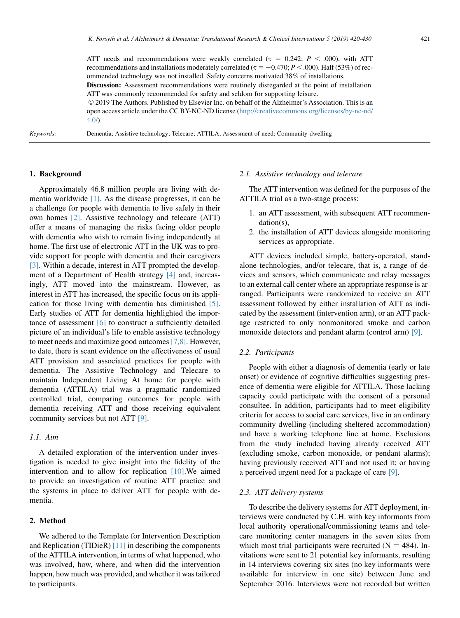ATT needs and recommendations were weakly correlated ( $\tau = 0.242$ ;  $P < .000$ ), with ATT recommendations and installations moderately correlated ( $\tau = -0.470; P < .000$ ). Half (53%) of recommended technology was not installed. Safety concerns motivated 38% of installations. Discussion: Assessment recommendations were routinely disregarded at the point of installation. ATT was commonly recommended for safety and seldom for supporting leisure. 2019 The Authors. Published by Elsevier Inc. on behalf of the Alzheimer's Association. This is an open access article under the CC BY-NC-ND license ([http://creativecommons.org/licenses/by-nc-nd/](http://creativecommons.org/licenses/by-nc-nd/4.0/)  $4.0/$ ).

Keywords: Dementia; Assistive technology; Telecare; ATTILA; Assessment of need; Community-dwelling

# 1. Background

Approximately 46.8 million people are living with dementia worldwide [\[1\]](#page-9-0). As the disease progresses, it can be a challenge for people with dementia to live safely in their own homes [\[2\]](#page-10-0). Assistive technology and telecare (ATT) offer a means of managing the risks facing older people with dementia who wish to remain living independently at home. The first use of electronic ATT in the UK was to provide support for people with dementia and their caregivers [\[3\].](#page-10-0) Within a decade, interest in ATT prompted the development of a Department of Health strategy [\[4\]](#page-10-0) and, increasingly, ATT moved into the mainstream. However, as interest in ATT has increased, the specific focus on its application for those living with dementia has diminished [\[5\].](#page-10-0) Early studies of ATT for dementia highlighted the importance of assessment [\[6\]](#page-10-0) to construct a sufficiently detailed picture of an individual's life to enable assistive technology to meet needs and maximize good outcomes [\[7,8\]](#page-10-0). However, to date, there is scant evidence on the effectiveness of usual ATT provision and associated practices for people with dementia. The Assistive Technology and Telecare to maintain Independent Living At home for people with dementia (ATTILA) trial was a pragmatic randomized controlled trial, comparing outcomes for people with dementia receiving ATT and those receiving equivalent community services but not ATT [\[9\]](#page-10-0).

# 1.1. Aim

A detailed exploration of the intervention under investigation is needed to give insight into the fidelity of the intervention and to allow for replication [\[10\].](#page-10-0)We aimed to provide an investigation of routine ATT practice and the systems in place to deliver ATT for people with dementia.

#### 2. Method

We adhered to the Template for Intervention Description and Replication (TIDieR) [\[11\]](#page-10-0) in describing the components of the ATTILA intervention, in terms of what happened, who was involved, how, where, and when did the intervention happen, how much was provided, and whether it was tailored to participants.

## 2.1. Assistive technology and telecare

The ATT intervention was defined for the purposes of the ATTILA trial as a two-stage process:

- 1. an ATT assessment, with subsequent ATT recommendation(s),
- 2. the installation of ATT devices alongside monitoring services as appropriate.

ATT devices included simple, battery-operated, standalone technologies, and/or telecare, that is, a range of devices and sensors, which communicate and relay messages to an external call center where an appropriate response is arranged. Participants were randomized to receive an ATT assessment followed by either installation of ATT as indicated by the assessment (intervention arm), or an ATT package restricted to only nonmonitored smoke and carbon monoxide detectors and pendant alarm (control arm) [\[9\]](#page-10-0).

#### 2.2. Participants

People with either a diagnosis of dementia (early or late onset) or evidence of cognitive difficulties suggesting presence of dementia were eligible for ATTILA. Those lacking capacity could participate with the consent of a personal consultee. In addition, participants had to meet eligibility criteria for access to social care services, live in an ordinary community dwelling (including sheltered accommodation) and have a working telephone line at home. Exclusions from the study included having already received ATT (excluding smoke, carbon monoxide, or pendant alarms); having previously received ATT and not used it; or having a perceived urgent need for a package of care [\[9\]](#page-10-0).

## 2.3. ATT delivery systems

To describe the delivery systems for ATT deployment, interviews were conducted by C.H. with key informants from local authority operational/commissioning teams and telecare monitoring center managers in the seven sites from which most trial participants were recruited  $(N = 484)$ . Invitations were sent to 21 potential key informants, resulting in 14 interviews covering six sites (no key informants were available for interview in one site) between June and September 2016. Interviews were not recorded but written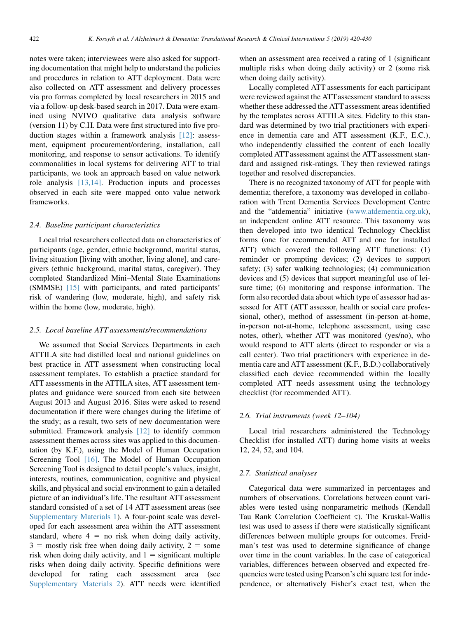notes were taken; interviewees were also asked for supporting documentation that might help to understand the policies and procedures in relation to ATT deployment. Data were also collected on ATT assessment and delivery processes via pro formas completed by local researchers in 2015 and via a follow-up desk-based search in 2017. Data were examined using NVIVO qualitative data analysis software (version 11) by C.H. Data were first structured into five production stages within a framework analysis [\[12\]](#page-10-0): assessment, equipment procurement/ordering, installation, call monitoring, and response to sensor activations. To identify commonalities in local systems for delivering ATT to trial participants, we took an approach based on value network role analysis [\[13,14\].](#page-10-0) Production inputs and processes observed in each site were mapped onto value network frameworks.

## 2.4. Baseline participant characteristics

Local trial researchers collected data on characteristics of participants (age, gender, ethnic background, marital status, living situation [living with another, living alone], and caregivers (ethnic background, marital status, caregiver). They completed Standardized Mini–Mental State Examinations (SMMSE) [\[15\]](#page-10-0) with participants, and rated participants' risk of wandering (low, moderate, high), and safety risk within the home (low, moderate, high).

## 2.5. Local baseline ATT assessments/recommendations

We assumed that Social Services Departments in each ATTILA site had distilled local and national guidelines on best practice in ATT assessment when constructing local assessment templates. To establish a practice standard for ATT assessments in the ATTILA sites, ATT assessment templates and guidance were sourced from each site between August 2013 and August 2016. Sites were asked to resend documentation if there were changes during the lifetime of the study; as a result, two sets of new documentation were submitted. Framework analysis [\[12\]](#page-10-0) to identify common assessment themes across sites was applied to this documentation (by K.F.), using the Model of Human Occupation Screening Tool [\[16\]](#page-10-0). The Model of Human Occupation Screening Tool is designed to detail people's values, insight, interests, routines, communication, cognitive and physical skills, and physical and social environment to gain a detailed picture of an individual's life. The resultant ATT assessment standard consisted of a set of 14 ATT assessment areas (see [Supplementary Materials 1\)](#page-9-0). A four-point scale was developed for each assessment area within the ATT assessment standard, where  $4 =$  no risk when doing daily activity,  $3 =$  mostly risk free when doing daily activity,  $2 =$  some risk when doing daily activity, and  $1 =$  significant multiple risks when doing daily activity. Specific definitions were developed for rating each assessment area (see [Supplementary Materials 2\)](#page-9-0). ATT needs were identified when an assessment area received a rating of 1 (significant multiple risks when doing daily activity) or 2 (some risk when doing daily activity).

Locally completed ATT assessments for each participant were reviewed against the ATT assessment standard to assess whether these addressed the ATT assessment areas identified by the templates across ATTILA sites. Fidelity to this standard was determined by two trial practitioners with experience in dementia care and ATT assessment (K.F., E.C.), who independently classified the content of each locally completed ATT assessment against the ATT assessment standard and assigned risk-ratings. They then reviewed ratings together and resolved discrepancies.

There is no recognized taxonomy of ATT for people with dementia; therefore, a taxonomy was developed in collaboration with Trent Dementia Services Development Centre and the "atdementia" initiative ([www.atdementia.org.uk](http://www.atdementia.org.uk)), an independent online ATT resource. This taxonomy was then developed into two identical Technology Checklist forms (one for recommended ATT and one for installed ATT) which covered the following ATT functions: (1) reminder or prompting devices; (2) devices to support safety; (3) safer walking technologies; (4) communication devices and (5) devices that support meaningful use of leisure time; (6) monitoring and response information. The form also recorded data about which type of assessor had assessed for ATT (ATT assessor, health or social care professional, other), method of assessment (in-person at-home, in-person not-at-home, telephone assessment, using case notes, other), whether ATT was monitored (yes/no), who would respond to ATT alerts (direct to responder or via a call center). Two trial practitioners with experience in dementia care and ATT assessment (K.F., B.D.) collaboratively classified each device recommended within the locally completed ATT needs assessment using the technology checklist (for recommended ATT).

## 2.6. Trial instruments (week 12–104)

Local trial researchers administered the Technology Checklist (for installed ATT) during home visits at weeks 12, 24, 52, and 104.

#### 2.7. Statistical analyses

Categorical data were summarized in percentages and numbers of observations. Correlations between count variables were tested using nonparametric methods (Kendall Tau Rank Correlation Coefficient  $\tau$ ). The Kruskal-Wallis test was used to assess if there were statistically significant differences between multiple groups for outcomes. Freidman's test was used to determine significance of change over time in the count variables. In the case of categorical variables, differences between observed and expected frequencies were tested using Pearson's chi square test for independence, or alternatively Fisher's exact test, when the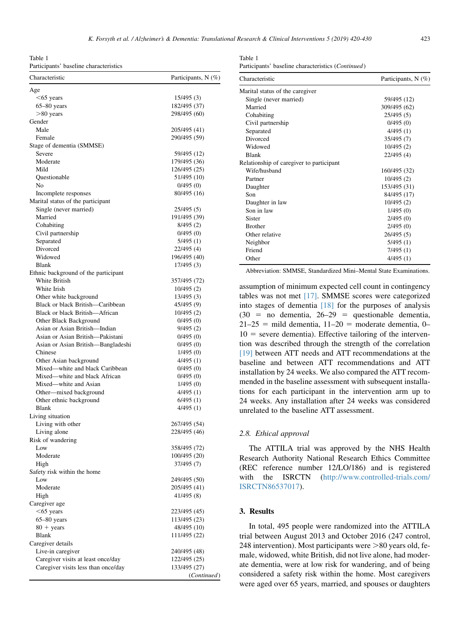<span id="page-3-0"></span>Table 1 Participants' baseline characteristics

| Characteristic                       | Participants, N (%)          |
|--------------------------------------|------------------------------|
| Age                                  |                              |
| $< 65$ years                         | 15/495 (3)                   |
| $65 - 80$ years                      | 182/495 (37)                 |
| $>80$ years                          | 298/495 (60)                 |
| Gender                               |                              |
| Male                                 | 205/495 (41)                 |
| Female                               | 290/495 (59)                 |
| Stage of dementia (SMMSE)            |                              |
| Severe<br>Moderate                   | 59/495 (12)                  |
| Mild                                 | 179/495 (36)<br>126/495 (25) |
| Questionable                         | 51/495 (10)                  |
| No                                   | 0/495(0)                     |
| Incomplete responses                 | 80/495 (16)                  |
| Marital status of the participant    |                              |
| Single (never married)               | 25/495 (5)                   |
| Married                              | 191/495 (39)                 |
| Cohabiting                           | 8/495(2)                     |
| Civil partnership                    | 0/495(0)                     |
| Separated                            | 5/495(1)                     |
| Divorced                             | 22/495 (4)                   |
| Widowed                              | 196/495 (40)                 |
| Blank                                | 17/495 (3)                   |
| Ethnic background of the participant |                              |
| White British                        | 357/495 (72)                 |
| White Irish                          | 10/495(2)                    |
| Other white background               | 13/495 (3)                   |
| Black or black British-Caribbean     | 45/495 (9)                   |
| Black or black British-African       | 10/495(2)                    |
| Other Black Background               | 0/495(0)                     |
| Asian or Asian British—Indian        | 9/495(2)                     |
| Asian or Asian British-Pakistani     | 0/495(0)                     |
| Asian or Asian British-Bangladeshi   | 0/495(0)                     |
| Chinese<br>Other Asian background    | 1/495(0)                     |
| Mixed—white and black Caribbean      | 4/495(1)<br>0/495(0)         |
| Mixed—white and black African        | 0/495(0)                     |
| Mixed—white and Asian                | 1/495(0)                     |
| Other-mixed background               | 4/495(1)                     |
| Other ethnic background              | 6/495(1)                     |
| Blank                                | 4/495 (1)                    |
| Living situation                     |                              |
| Living with other                    | 267/495 (54)                 |
| Living alone                         | 228/495 (46)                 |
| Risk of wandering                    |                              |
| Low                                  | 358/495 (72)                 |
| Moderate                             | 100/495 (20)                 |
| High                                 | 37/495 (7)                   |
| Safety risk within the home          |                              |
| Low                                  | 249/495 (50)                 |
| Moderate                             | 205/495 (41)                 |
| High                                 | 41/495 (8)                   |
| Caregiver age                        |                              |
| $<$ 65 years                         | 223/495 (45)                 |
| $65 - 80$ years                      | 113/495 (23)                 |
| $80 + \text{years}$<br><b>Blank</b>  | 48/495 (10)<br>111/495 (22)  |
| Caregiver details                    |                              |
| Live-in caregiver                    | 240/495 (48)                 |
| Caregiver visits at least once/day   | 122/495 (25)                 |
| Caregiver visits less than once/day  | 133/495 (27)                 |
|                                      | (Continued)                  |

| Table 1                                                     |
|-------------------------------------------------------------|
| Participants' baseline characteristics ( <i>Continued</i> ) |

| Characteristic                           | Participants, N (%) |
|------------------------------------------|---------------------|
| Marital status of the caregiver          |                     |
| Single (never married)                   | 59/495 (12)         |
| Married                                  | 309/495 (62)        |
| Cohabiting                               | 25/495 (5)          |
| Civil partnership                        | 0/495(0)            |
| Separated                                | 4/495(1)            |
| Divorced                                 | 35/495 (7)          |
| Widowed                                  | 10/495 (2)          |
| <b>Blank</b>                             | 22/495 (4)          |
| Relationship of caregiver to participant |                     |
| Wife/husband                             | 160/495 (32)        |
| Partner                                  | 10/495 (2)          |
| Daughter                                 | 153/495 (31)        |
| Son                                      | 84/495 (17)         |
| Daughter in law                          | 10/495 (2)          |
| Son in law                               | 1/495(0)            |
| Sister                                   | 2/495(0)            |
| <b>Brother</b>                           | 2/495(0)            |
| Other relative                           | 26/495 (5)          |
| Neighbor                                 | 5/495(1)            |
| Friend                                   | 7/495(1)            |
| Other                                    | 4/495(1)            |

Abbreviation: SMMSE, Standardized Mini–Mental State Examinations.

assumption of minimum expected cell count in contingency tables was not met [\[17\]](#page-10-0). SMMSE scores were categorized into stages of dementia [\[18\]](#page-10-0) for the purposes of analysis  $(30 = no$  dementia,  $26-29 = questional be$  dementia,  $21-25$  = mild dementia,  $11-20$  = moderate dementia, 0–  $10 =$  severe dementia). Effective tailoring of the intervention was described through the strength of the correlation [\[19\]](#page-10-0) between ATT needs and ATT recommendations at the baseline and between ATT recommendations and ATT installation by 24 weeks. We also compared the ATT recommended in the baseline assessment with subsequent installations for each participant in the intervention arm up to 24 weeks. Any installation after 24 weeks was considered unrelated to the baseline ATT assessment.

## 2.8. Ethical approval

The ATTILA trial was approved by the NHS Health Research Authority National Research Ethics Committee (REC reference number 12/LO/186) and is registered with the ISRCTN ([http://www.controlled-trials.com/](http://www.controlled-trials.com/ISRCTN86537017) [ISRCTN86537017](http://www.controlled-trials.com/ISRCTN86537017)).

# 3. Results

In total, 495 people were randomized into the ATTILA trial between August 2013 and October 2016 (247 control, 248 intervention). Most participants were  $>80$  years old, female, widowed, white British, did not live alone, had moderate dementia, were at low risk for wandering, and of being considered a safety risk within the home. Most caregivers were aged over 65 years, married, and spouses or daughters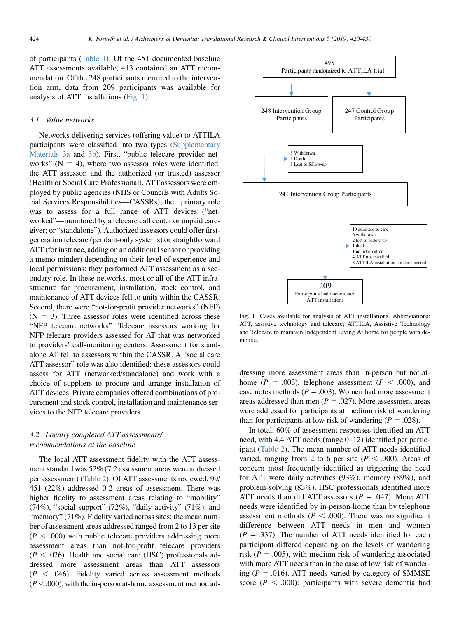of participants [\(Table 1](#page-3-0)). Of the 451 documented baseline ATT assessments available, 413 contained an ATT recommendation. Of the 248 participants recruited to the intervention arm, data from 209 participants was available for analysis of ATT installations (Fig. 1).

#### 3.1. Value networks

Networks delivering services (offering value) to ATTILA participants were classified into two types ([Supplementary](#page-9-0) [Materials 3a](#page-9-0) and [3b](#page-9-0)). First, "public telecare provider networks"  $(N = 4)$ , where two assessor roles were identified: the ATT assessor, and the authorized (or trusted) assessor (Health or Social Care Professional). ATT assessors were employed by public agencies (NHS or Councils with Adults Social Services Responsibilities—CASSRs); their primary role was to assess for a full range of ATT devices ("networked"—monitored by a telecare call center or unpaid caregiver; or "standalone"). Authorized assessors could offer firstgeneration telecare (pendant-only systems) or straightforward ATT (for instance, adding on an additional sensor or providing a memo minder) depending on their level of experience and local permissions; they performed ATT assessment as a secondary role. In these networks, most or all of the ATT infrastructure for procurement, installation, stock control, and maintenance of ATT devices fell to units within the CASSR. Second, there were "not-for-profit provider networks" (NFP)  $(N = 3)$ . Three assessor roles were identified across these "NFP telecare networks". Telecare assessors working for NFP telecare providers assessed for AT that was networked to providers' call-monitoring centers. Assessment for standalone AT fell to assessors within the CASSR. A "social care ATT assessor" role was also identified: these assessors could assess for ATT (networked/standalone) and work with a choice of suppliers to procure and arrange installation of ATT devices. Private companies offered combinations of procurement and stock control, installation and maintenance services to the NFP telecare providers.

# 3.2. Locally completed ATT assessments/ recommendations at the baseline

The local ATT assessment fidelity with the ATT assessment standard was 52% (7.2 assessment areas were addressed per assessment) [\(Table 2](#page-5-0)). Of ATT assessments reviewed, 99/ 451 (22%) addressed 0-2 areas of assessment. There was higher fidelity to assessment areas relating to "mobility" (74%), "social support" (72%), "daily activity" (71%), and "memory" (71%). Fidelity varied across sites: the mean number of assessment areas addressed ranged from 2 to 13 per site  $(P < .000)$  with public telecare providers addressing more assessment areas than not-for-profit telecare providers  $(P < .026)$ . Health and social care (HSC) professionals addressed more assessment areas than ATT assessors  $(P < .046)$ . Fidelity varied across assessment methods  $(P<.000)$ , with the in-person at-home assessment method ad-



Fig. 1. Cases available for analysis of ATT installations. Abbreviations: ATT, assistive technology and telecare; ATTILA, Assistive Technology and Telecare to maintain Independent Living At home for people with dementia.

dressing more assessment areas than in-person but not-athome ( $P = .003$ ), telephone assessment ( $P < .000$ ), and case notes methods ( $P = .003$ ). Women had more assessment areas addressed than men ( $P = .027$ ). More assessment areas were addressed for participants at medium risk of wandering than for participants at low risk of wandering  $(P = .028)$ .

In total, 60% of assessment responses identified an ATT need, with 4.4 ATT needs (range 0–12) identified per participant [\(Table 2\)](#page-5-0). The mean number of ATT needs identified varied, ranging from 2 to 6 per site ( $P < .000$ ). Areas of concern most frequently identified as triggering the need for ATT were daily activities (93%), memory (89%), and problem-solving (83%). HSC professionals identified more ATT needs than did ATT assessors ( $P = .047$ ). More ATT needs were identified by in-person-home than by telephone assessment methods ( $P < .000$ ). There was no significant difference between ATT needs in men and women  $(P = .337)$ . The number of ATT needs identified for each participant differed depending on the levels of wandering risk ( $P = .005$ ), with medium risk of wandering associated with more ATT needs than in the case of low risk of wandering ( $P = .016$ ). ATT needs varied by category of SMMSE score ( $P < .000$ ): participants with severe dementia had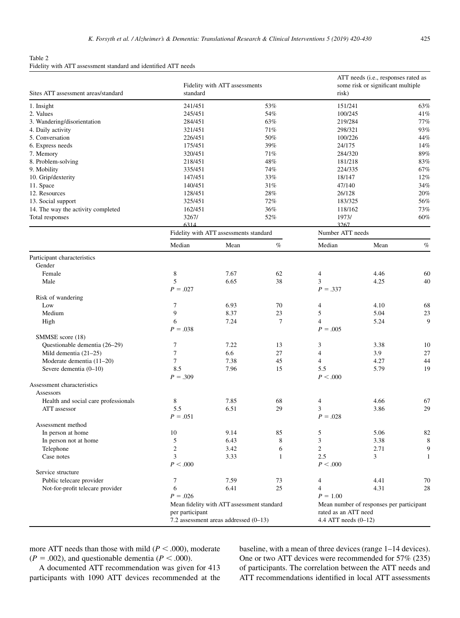<span id="page-5-0"></span>Table 2 Fidelity with ATT assessment standard and identified ATT needs

| Sites ATT assessment areas/standard  | Fidelity with ATT assessments<br>standard |                                            | risk)                | ATT needs (i.e., responses rated as<br>some risk or significant multiple |                                          |      |
|--------------------------------------|-------------------------------------------|--------------------------------------------|----------------------|--------------------------------------------------------------------------|------------------------------------------|------|
| 1. Insight                           | 241/451                                   |                                            | 53%                  | 151/241                                                                  |                                          | 63%  |
| 2. Values                            | 245/451                                   |                                            | 54%                  | 100/245                                                                  |                                          | 41%  |
| 3. Wandering/disorientation          | 284/451                                   |                                            | 63%                  | 219/284                                                                  |                                          | 77%  |
| 4. Daily activity                    | 321/451                                   |                                            | 71%                  | 298/321                                                                  |                                          | 93%  |
| 5. Conversation                      | 226/451                                   |                                            | 50%                  | 100/226                                                                  |                                          | 44%  |
| 6. Express needs                     | 175/451                                   |                                            | 39%                  | 24/175                                                                   |                                          | 14%  |
| 7. Memory                            | 320/451                                   |                                            | 71%                  | 284/320                                                                  |                                          | 89%  |
| 8. Problem-solving                   | 218/451                                   |                                            | 48%                  | 181/218                                                                  |                                          | 83%  |
| 9. Mobility                          | 335/451                                   |                                            | 74%                  | 224/335                                                                  |                                          | 67%  |
| 10. Grip/dexterity                   | 147/451                                   |                                            | 33%                  | 18/147                                                                   |                                          | 12%  |
| 11. Space                            | 140/451                                   |                                            | 31%                  | 47/140                                                                   |                                          | 34%  |
| 12. Resources                        | 128/451                                   |                                            | 28%                  | 26/128                                                                   |                                          | 20%  |
| 13. Social support                   | 325/451                                   |                                            | 72%                  | 183/325                                                                  |                                          | 56%  |
| 14. The way the activity completed   | 162/451                                   |                                            | 36%                  | 118/162                                                                  |                                          | 73%  |
| Total responses                      | 3267/<br>6314                             |                                            | 52%<br>1973/<br>3267 |                                                                          |                                          | 60%  |
|                                      |                                           | Fidelity with ATT assessments standard     |                      | Number ATT needs                                                         |                                          |      |
|                                      | Median                                    | Mean                                       | $\%$                 | Median                                                                   | Mean                                     | $\%$ |
| Participant characteristics          |                                           |                                            |                      |                                                                          |                                          |      |
| Gender                               |                                           |                                            |                      |                                                                          |                                          |      |
| Female                               | 8                                         | 7.67                                       | 62                   | 4                                                                        | 4.46                                     | 60   |
| Male                                 | 5                                         | 6.65                                       | 38                   | 3                                                                        | 4.25                                     | 40   |
|                                      | $P = .027$                                |                                            |                      | $P = .337$                                                               |                                          |      |
| Risk of wandering                    |                                           |                                            |                      |                                                                          |                                          |      |
| Low                                  | 7                                         | 6.93                                       | 70                   | 4                                                                        | 4.10                                     | 68   |
| Medium                               | 9                                         | 8.37                                       | 23                   | 5                                                                        | 5.04                                     | 23   |
| High                                 | 6                                         | 7.24                                       | 7                    | $\overline{4}$                                                           | 5.24                                     | 9    |
|                                      | $P = .038$                                |                                            |                      | $P = .005$                                                               |                                          |      |
| SMMSE score (18)                     |                                           |                                            |                      |                                                                          |                                          |      |
| Questionable dementia (26-29)        | 7                                         | 7.22                                       | 13                   | 3                                                                        | 3.38                                     | 10   |
| Mild dementia $(21-25)$              | $\tau$                                    | 6.6                                        | 27                   | $\overline{4}$                                                           | 3.9                                      | 27   |
| Moderate dementia (11-20)            | 7                                         | 7.38                                       | 45                   | $\overline{4}$                                                           | 4.27                                     | 44   |
| Severe dementia (0-10)               | 8.5                                       | 7.96                                       | 15                   | 5.5                                                                      | 5.79                                     | 19   |
|                                      | $P = .309$                                |                                            |                      | P < 0.000                                                                |                                          |      |
| Assessment characteristics           |                                           |                                            |                      |                                                                          |                                          |      |
| Assessors                            |                                           |                                            |                      |                                                                          |                                          |      |
| Health and social care professionals | 8                                         | 7.85                                       | 68                   | 4                                                                        | 4.66                                     | 67   |
| ATT assessor                         | 5.5                                       | 6.51                                       | 29                   | 3                                                                        | 3.86                                     | 29   |
|                                      | $P = .051$                                |                                            |                      | $P = .028$                                                               |                                          |      |
| Assessment method                    |                                           |                                            |                      |                                                                          |                                          |      |
| In person at home                    | 10                                        | 9.14                                       | 85                   | 5                                                                        | 5.06                                     | 82   |
| In person not at home                | 5                                         | 6.43                                       | 8                    | 3                                                                        | 3.38                                     | 8    |
| Telephone                            | $\overline{c}$                            | 3.42                                       | 6                    | $\overline{c}$                                                           | 2.71                                     | 9    |
| Case notes                           | 3                                         | 3.33                                       | 1                    | 2.5                                                                      | 3                                        | 1    |
|                                      | P < 0.000                                 |                                            |                      | P < 0.000                                                                |                                          |      |
| Service structure                    |                                           |                                            |                      |                                                                          |                                          |      |
| Public telecare provider             | 7                                         | 7.59                                       | 73                   | 4                                                                        | 4.41                                     | 70   |
| Not-for-profit telecare provider     | 6                                         | 6.41                                       | 25                   | 4                                                                        | 4.31                                     | 28   |
|                                      | $P = .026$                                |                                            |                      | $P = 1.00$                                                               |                                          |      |
|                                      |                                           | Mean fidelity with ATT assessment standard |                      |                                                                          | Mean number of responses per participant |      |
|                                      | per participant                           |                                            |                      | rated as an ATT need                                                     |                                          |      |
|                                      |                                           | 7.2 assessment areas addressed (0-13)      |                      | 4.4 ATT needs $(0-12)$                                                   |                                          |      |

more ATT needs than those with mild ( $P < .000$ ), moderate  $(P = .002)$ , and questionable dementia  $(P < .000)$ .

A documented ATT recommendation was given for 413 participants with 1090 ATT devices recommended at the baseline, with a mean of three devices (range 1–14 devices). One or two ATT devices were recommended for 57% (235) of participants. The correlation between the ATT needs and ATT recommendations identified in local ATT assessments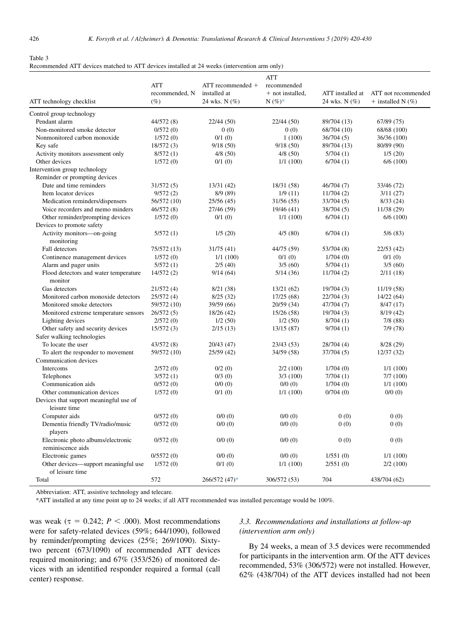#### <span id="page-6-0"></span>Table 3

| Recommended ATT devices matched to ATT devices installed at 24 weeks (intervention arm only) |  |  |  |
|----------------------------------------------------------------------------------------------|--|--|--|
|----------------------------------------------------------------------------------------------|--|--|--|

|                                                         |                |                       | <b>ATT</b>       |                  |                       |
|---------------------------------------------------------|----------------|-----------------------|------------------|------------------|-----------------------|
|                                                         | <b>ATT</b>     | $ATT$ recommended $+$ | recommended      |                  |                       |
|                                                         | recommended, N | installed at          | + not installed, | ATT installed at | ATT not recommended   |
| ATT technology checklist                                | $(\%)$         | 24 wks. N (%)         | $N(%)*$          | 24 wks. N (%)    | + installed N $(\% )$ |
| Control group technology                                |                |                       |                  |                  |                       |
| Pendant alarm                                           | 44/572 (8)     | 22/44 (50)            | 22/44(50)        | 89/704 (13)      | 67/89(75)             |
| Non-monitored smoke detector                            | 0/572(0)       | 0(0)                  | 0(0)             | 68/704 (10)      | 68/68 (100)           |
| Nonmonitored carbon monoxide                            | 1/572(0)       | 0/1(0)                | 1(100)           | 36/704(5)        | 36/36 (100)           |
| Key safe                                                | 18/572(3)      | 9/18(50)              | 9/18(50)         | 89/704 (13)      | 80/89 (90)            |
| Activity monitors assessment only                       | 8/572(1)       | 4/8(50)               | 4/8(50)          | 5/704(1)         | 1/5(20)               |
| Other devices                                           | 1/572(0)       | 0/1(0)                | 1/1(100)         | 6/704(1)         | 6/6(100)              |
| Intervention group technology                           |                |                       |                  |                  |                       |
| Reminder or prompting devices                           |                |                       |                  |                  |                       |
| Date and time reminders                                 | 31/572(5)      | 13/31 (42)            | 18/31 (58)       | 46/704 (7)       | 33/46 (72)            |
| Item locator devices                                    | 9/572(2)       | 8/9(89)               | 1/9(11)          | 11/704(2)        | 3/11(27)              |
| Medication reminders/dispensers                         | 56/572 (10)    | 25/56 (45)            | 31/56(55)        | 33/704 (5)       | 8/33(24)              |
| Voice recorders and memo minders                        | 46/572 (8)     | 27/46 (59)            | 19/46 (41)       | 38/704 (5)       | 11/38 (29)            |
| Other reminder/prompting devices                        | 1/572(0)       | 0/1(0)                | 1/1(100)         | 6/704(1)         | 6/6(100)              |
| Devices to promote safety                               |                |                       |                  |                  |                       |
| Activity monitors-on-going                              | 5/572(1)       | 1/5(20)               | 4/5(80)          | 6/704(1)         | 5/6(83)               |
| monitoring                                              |                |                       |                  |                  |                       |
| Fall detectors                                          | 75/572 (13)    | 31/75 (41)            | 44/75 (59)       | 53/704 (8)       | 22/53(42)             |
| Continence management devices                           | 1/572(0)       | 1/1(100)              | 0/1(0)           | 1/704(0)         | 0/1(0)                |
| Alarm and pager units                                   | 5/572(1)       | 2/5(40)               | 3/5(60)          | 5/704(1)         | 3/5(60)               |
| Flood detectors and water temperature<br>monitor        | 14/572(2)      | 9/14(64)              | 5/14(36)         | 11/704(2)        | 2/11(18)              |
| Gas detectors                                           | 21/572(4)      | 8/21(38)              | 13/21(62)        | 19/704(3)        | 11/19(58)             |
| Monitored carbon monoxide detectors                     | 25/572 (4)     | 8/25(32)              | 17/25(68)        | 22/704(3)        | 14/22(64)             |
| Monitored smoke detectors                               | 59/572 (10)    | 39/59 (66)            | 20/59(34)        | 47/704 (7)       | 8/47(17)              |
| Monitored extreme temperature sensors                   | 26/572(5)      | 18/26 (42)            | 15/26(58)        | 19/704(3)        | 8/19(42)              |
| Lighting devices                                        | 2/572(0)       | 1/2(50)               | 1/2(50)          | 8/704(1)         | 7/8(88)               |
| Other safety and security devices                       | 15/572(3)      | 2/15(13)              | 13/15(87)        | 9/704(1)         | 7/9(78)               |
| Safer walking technologies                              |                |                       |                  |                  |                       |
| To locate the user                                      | 43/572 (8)     | 20/43 (47)            | 23/43(53)        | 28/704 (4)       | 8/28(29)              |
| To alert the responder to movement                      | 59/572 (10)    | 25/59 (42)            | 34/59 (58)       | 37/704 (5)       | 12/37(32)             |
| Communication devices                                   |                |                       |                  |                  |                       |
| Intercoms                                               | 2/572(0)       | 0/2(0)                | 2/2(100)         | 1/704(0)         | 1/1(100)              |
| Telephones                                              | 3/572(1)       | 0/3(0)                | 3/3(100)         | 7/704(1)         | 7/7(100)              |
| Communication aids                                      | 0/572(0)       | 0/0(0)                | 0/0(0)           | 1/704(0)         | 1/1(100)              |
| Other communication devices                             | 1/572(0)       | 0/1(0)                | 1/1(100)         | 0/704(0)         | 0/0(0)                |
| Devices that support meaningful use of<br>leisure time  |                |                       |                  |                  |                       |
| Computer aids                                           | 0/572(0)       | 0/0(0)                | 0/0(0)           | 0(0)             | 0(0)                  |
| Dementia friendly TV/radio/music<br>players             | 0/572(0)       | 0/0(0)                | 0/0(0)           | 0(0)             | 0(0)                  |
| Electronic photo albums/electronic<br>reminiscence aids | 0/572(0)       | 0/0(0)                | 0/0(0)           | 0(0)             | 0(0)                  |
| Electronic games                                        | 0/5572(0)      | 0/0(0)                | 0/0(0)           | 1/551(0)         | 1/1(100)              |
| Other devices—support meaningful use                    | 1/572(0)       | 0/1(0)                | 1/1(100)         | 2/551(0)         | 2/2(100)              |
| of leisure time<br>Total                                | 572            | 266/572 (47)*         | 306/572 (53)     | 704              | 438/704 (62)          |

Abbreviation: ATT, assistive technology and telecare.

\*ATT installed at any time point up to 24 weeks; if all ATT recommended was installed percentage would be 100%.

was weak ( $\tau = 0.242$ ;  $P < .000$ ). Most recommendations were for safety-related devices (59%; 644/1090), followed by reminder/prompting devices (25%; 269/1090). Sixtytwo percent (673/1090) of recommended ATT devices required monitoring; and 67% (353/526) of monitored devices with an identified responder required a formal (call center) response.

# 3.3. Recommendations and installations at follow-up (intervention arm only)

By 24 weeks, a mean of 3.5 devices were recommended for participants in the intervention arm. Of the ATT devices recommended, 53% (306/572) were not installed. However, 62% (438/704) of the ATT devices installed had not been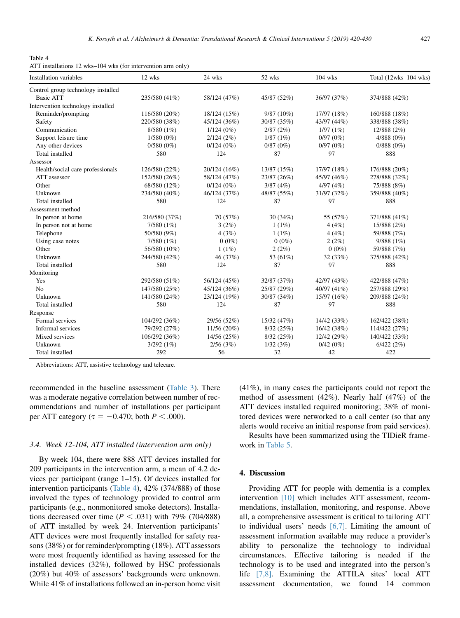Table 4 ATT installations 12 wks–104 wks (for intervention arm only)

| <b>Installation variables</b>      | 12 wks        | 24 wks       | 52 wks       | $104$ wks      | Total (12wks-104 wks) |
|------------------------------------|---------------|--------------|--------------|----------------|-----------------------|
| Control group technology installed |               |              |              |                |                       |
| <b>Basic ATT</b>                   | 235/580 (41%) | 58/124 (47%) | 45/87 (52%)  | 36/97 (37%)    | 374/888 (42%)         |
| Intervention technology installed  |               |              |              |                |                       |
| Reminder/prompting                 | 116/580 (20%) | 18/124 (15%) | $9/87(10\%)$ | 17/97 (18%)    | 160/888 (18%)         |
| Safety                             | 220/580 (38%) | 45/124 (36%) | 30/87 (35%)  | 43/97 (44%)    | 338/888 (38%)         |
| Communication                      | 8/580 (1%)    | $1/124(0\%)$ | 2/87(2%)     | 1/97(1%)       | 12/888 (2%)           |
| Support leisure time               | $1/580(0\%)$  | 2/124(2%)    | 1/87(1%)     | 0/97(0%)       | $4/888(0\%)$          |
| Any other devices                  | $0/580(0\%)$  | $0/124(0\%)$ | 0/87(0%)     | 0/97(0%)       | 0/888(0%)             |
| Total installed                    | 580           | 124          | 87           | 97             | 888                   |
| Assessor                           |               |              |              |                |                       |
| Health/social care professionals   | 126/580 (22%) | 20/124 (16%) | 13/87 (15%)  | 17/97 (18%)    | 176/888 (20%)         |
| ATT assessor                       | 152/580 (26%) | 58/124 (47%) | 23/87 (26%)  | 45/97 (46%)    | 278/888 (32%)         |
| Other                              | 68/580 (12%)  | $0/124(0\%)$ | 3/87(4%)     | 4/97(4%)       | 75/888 (8%)           |
| Unknown                            | 234/580 (40%) | 46/124 (37%) | 48/87 (55%)  | 31/97 (32%)    | 359/888 (40%)         |
| Total installed                    | 580           | 124          | 87           | 97             | 888                   |
| Assessment method                  |               |              |              |                |                       |
| In person at home                  | 216/580 (37%) | 70 (57%)     | 30(34%)      | 55 (57%)       | 371/888 (41%)         |
| In person not at home              | $7/580(1\%)$  | 3(2%)        | $1(1\%)$     | 4(4%)          | 15/888 (2%)           |
| Telephone                          | 50/580 (9%)   | 4(3%)        | 1(1%)        | 4(4%)          | 59/888 (7%)           |
| Using case notes                   | 7/580(1%)     | $0(0\%)$     | $0(0\%)$     | 2(2%)          | 9/888(1%)             |
| Other                              | 56/580 (10%)  | $1(1\%)$     | 2(2%)        | $0(0\%)$       | 59/888 (7%)           |
| Unknown                            | 244/580 (42%) | 46 (37%)     | 53 (61%)     | 32(33%)        | 375/888 (42%)         |
| Total installed                    | 580           | 124          | 87           | 97             | 888                   |
| Monitoring                         |               |              |              |                |                       |
| Yes                                | 292/580 (51%) | 56/124 (45%) | 32/87 (37%)  | 42/97 (43%)    | 422/888 (47%)         |
| N <sub>o</sub>                     | 147/580 (25%) | 45/124 (36%) | 25/87 (29%)  | 40/97 $(41\%)$ | 257/888 (29%)         |
| Unknown                            | 141/580 (24%) | 23/124 (19%) | 30/87 (34%)  | 15/97 (16%)    | 209/888 (24%)         |
| Total installed                    | 580           | 124          | 87           | 97             | 888                   |
| Response                           |               |              |              |                |                       |
| Formal services                    | 104/292 (36%) | 29/56 (52%)  | 15/32(47%)   | 14/42 (33%)    | 162/422 (38%)         |
| Informal services                  | 79/292 (27%)  | 11/56(20%)   | 8/32(25%)    | 16/42 (38%)    | 114/422 (27%)         |
| Mixed services                     | 106/292 (36%) | 14/56 (25%)  | 8/32(25%)    | 12/42 (29%)    | 140/422 (33%)         |
| Unknown                            | 3/292(1%)     | 2/56(3%)     | 1/32(3%)     | 0/42(0%)       | 6/422(2%)             |
| Total installed                    | 292           | 56           | 32           | 42             | 422                   |

Abbreviations: ATT, assistive technology and telecare.

recommended in the baseline assessment [\(Table 3](#page-6-0)). There was a moderate negative correlation between number of recommendations and number of installations per participant per ATT category ( $\tau = -0.470$ ; both  $P < .000$ ).

## 3.4. Week 12-104, ATT installed (intervention arm only)

By week 104, there were 888 ATT devices installed for 209 participants in the intervention arm, a mean of 4.2 devices per participant (range 1–15). Of devices installed for intervention participants (Table 4), 42% (374/888) of those involved the types of technology provided to control arm participants (e.g., nonmonitored smoke detectors). Installations decreased over time  $(P < .031)$  with 79% (704/888) of ATT installed by week 24. Intervention participants' ATT devices were most frequently installed for safety reasons (38%) or for reminder/prompting (18%). ATT assessors were most frequently identified as having assessed for the installed devices (32%), followed by HSC professionals (20%) but 40% of assessors' backgrounds were unknown. While 41% of installations followed an in-person home visit (41%), in many cases the participants could not report the method of assessment (42%). Nearly half (47%) of the ATT devices installed required monitoring; 38% of monitored devices were networked to a call center (so that any alerts would receive an initial response from paid services).

Results have been summarized using the TIDieR framework in [Table 5.](#page-8-0)

# 4. Discussion

Providing ATT for people with dementia is a complex intervention [\[10\]](#page-10-0) which includes ATT assessment, recommendations, installation, monitoring, and response. Above all, a comprehensive assessment is critical to tailoring ATT to individual users' needs  $[6,7]$ . Limiting the amount of assessment information available may reduce a provider's ability to personalize the technology to individual circumstances. Effective tailoring is needed if the technology is to be used and integrated into the person's life [\[7,8\]](#page-10-0). Examining the ATTILA sites' local ATT assessment documentation, we found 14 common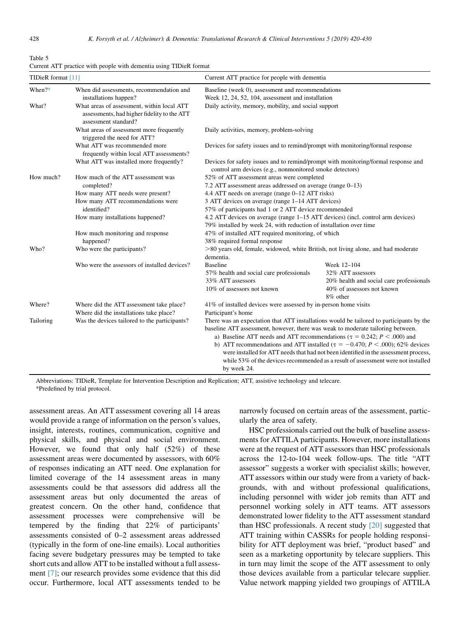<span id="page-8-0"></span>

| Table 5                                                            |  |  |  |  |
|--------------------------------------------------------------------|--|--|--|--|
| Current ATT practice with people with dementia using TIDieR format |  |  |  |  |

| TIDieR format [11]<br>Current ATT practice for people with dementia |                                                                                                                   |                                                                                                                                                                                                                                                                                                                                                                              |                                          |  |  |
|---------------------------------------------------------------------|-------------------------------------------------------------------------------------------------------------------|------------------------------------------------------------------------------------------------------------------------------------------------------------------------------------------------------------------------------------------------------------------------------------------------------------------------------------------------------------------------------|------------------------------------------|--|--|
| When $?*$                                                           | When did assessments, recommendation and                                                                          | Baseline (week 0), assessment and recommendations                                                                                                                                                                                                                                                                                                                            |                                          |  |  |
|                                                                     | installations happen?                                                                                             | Week 12, 24, 52, 104, assessment and installation                                                                                                                                                                                                                                                                                                                            |                                          |  |  |
| What?                                                               | What areas of assessment, within local ATT<br>assessments, had higher fidelity to the ATT<br>assessment standard? | Daily activity, memory, mobility, and social support<br>Daily activities, memory, problem-solving                                                                                                                                                                                                                                                                            |                                          |  |  |
|                                                                     | What areas of assessment more frequently<br>triggered the need for ATT?                                           |                                                                                                                                                                                                                                                                                                                                                                              |                                          |  |  |
|                                                                     | What ATT was recommended more<br>frequently within local ATT assessments?                                         | Devices for safety issues and to remind/prompt with monitoring/formal response                                                                                                                                                                                                                                                                                               |                                          |  |  |
|                                                                     | What ATT was installed more frequently?                                                                           | Devices for safety issues and to remind/prompt with monitoring/formal response and<br>control arm devices (e.g., nonmonitored smoke detectors)                                                                                                                                                                                                                               |                                          |  |  |
| How much?                                                           | How much of the ATT assessment was                                                                                | 52% of ATT assessment areas were completed                                                                                                                                                                                                                                                                                                                                   |                                          |  |  |
|                                                                     | completed?                                                                                                        | 7.2 ATT assessment areas addressed on average (range 0–13)                                                                                                                                                                                                                                                                                                                   |                                          |  |  |
|                                                                     | How many ATT needs were present?                                                                                  | 4.4 ATT needs on average (range 0–12 ATT risks)<br>3 ATT devices on average (range 1–14 ATT devices)<br>57% of participants had 1 or 2 ATT device recommended<br>4.2 ATT devices on average (range 1–15 ATT devices) (incl. control arm devices)<br>79% installed by week 24, with reduction of installation over time<br>47% of installed ATT required monitoring, of which |                                          |  |  |
|                                                                     | How many ATT recommendations were                                                                                 |                                                                                                                                                                                                                                                                                                                                                                              |                                          |  |  |
|                                                                     | identified?                                                                                                       |                                                                                                                                                                                                                                                                                                                                                                              |                                          |  |  |
|                                                                     | How many installations happened?                                                                                  |                                                                                                                                                                                                                                                                                                                                                                              |                                          |  |  |
|                                                                     | How much monitoring and response                                                                                  |                                                                                                                                                                                                                                                                                                                                                                              |                                          |  |  |
|                                                                     | happened?                                                                                                         | 38% required formal response                                                                                                                                                                                                                                                                                                                                                 |                                          |  |  |
| Who?                                                                | Who were the participants?                                                                                        | >80 years old, female, widowed, white British, not living alone, and had moderate<br>dementia.                                                                                                                                                                                                                                                                               |                                          |  |  |
|                                                                     | Who were the assessors of installed devices?                                                                      | <b>Baseline</b>                                                                                                                                                                                                                                                                                                                                                              | Week 12-104                              |  |  |
|                                                                     |                                                                                                                   | 57% health and social care professionals                                                                                                                                                                                                                                                                                                                                     | 32% ATT assessors                        |  |  |
|                                                                     |                                                                                                                   | 33% ATT assessors                                                                                                                                                                                                                                                                                                                                                            | 20% health and social care professionals |  |  |
|                                                                     |                                                                                                                   | 10% of assessors not known                                                                                                                                                                                                                                                                                                                                                   | 40% of assessors not known<br>8% other   |  |  |
| Where?                                                              | Where did the ATT assessment take place?                                                                          | 41% of installed devices were assessed by in-person home visits                                                                                                                                                                                                                                                                                                              |                                          |  |  |
|                                                                     | Where did the installations take place?                                                                           | Participant's home                                                                                                                                                                                                                                                                                                                                                           |                                          |  |  |
| Tailoring                                                           | Was the devices tailored to the participants?                                                                     | There was an expectation that ATT installations would be tailored to participants by the                                                                                                                                                                                                                                                                                     |                                          |  |  |
|                                                                     |                                                                                                                   | baseline ATT assessment, however, there was weak to moderate tailoring between.<br>a) Baseline ATT needs and ATT recommendations ( $\tau = 0.242$ ; $P < .000$ ) and                                                                                                                                                                                                         |                                          |  |  |
|                                                                     |                                                                                                                   | b) ATT recommendations and ATT installed ( $\tau = -0.470$ ; $P < .000$ ); 62% devices<br>were installed for ATT needs that had not been identified in the assessment process,<br>while 53% of the devices recommended as a result of assessment were not installed<br>by week 24.                                                                                           |                                          |  |  |

Abbreviations: TIDieR, Template for Intervention Description and Replication; ATT, assistive technology and telecare.

\*Predefined by trial protocol.

assessment areas. An ATT assessment covering all 14 areas would provide a range of information on the person's values, insight, interests, routines, communication, cognitive and physical skills, and physical and social environment. However, we found that only half (52%) of these assessment areas were documented by assessors, with 60% of responses indicating an ATT need. One explanation for limited coverage of the 14 assessment areas in many assessments could be that assessors did address all the assessment areas but only documented the areas of greatest concern. On the other hand, confidence that assessment processes were comprehensive will be tempered by the finding that 22% of participants' assessments consisted of 0–2 assessment areas addressed (typically in the form of one-line emails). Local authorities facing severe budgetary pressures may be tempted to take short cuts and allow ATT to be installed without a full assessment [\[7\]](#page-10-0); our research provides some evidence that this did occur. Furthermore, local ATT assessments tended to be

narrowly focused on certain areas of the assessment, particularly the area of safety.

HSC professionals carried out the bulk of baseline assessments for ATTILA participants. However, more installations were at the request of ATT assessors than HSC professionals across the 12-to-104 week follow-ups. The title "ATT assessor" suggests a worker with specialist skills; however, ATT assessors within our study were from a variety of backgrounds, with and without professional qualifications, including personnel with wider job remits than ATT and personnel working solely in ATT teams. ATT assessors demonstrated lower fidelity to the ATT assessment standard than HSC professionals. A recent study [\[20\]](#page-10-0) suggested that ATT training within CASSRs for people holding responsibility for ATT deployment was brief, "product based" and seen as a marketing opportunity by telecare suppliers. This in turn may limit the scope of the ATT assessment to only those devices available from a particular telecare supplier. Value network mapping yielded two groupings of ATTILA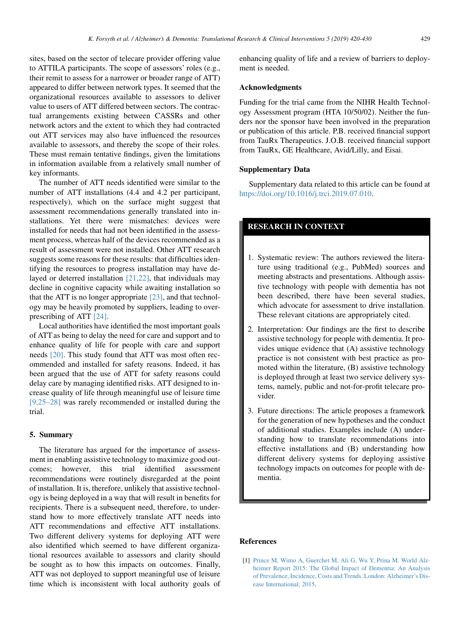<span id="page-9-0"></span>sites, based on the sector of telecare provider offering value to ATTILA participants. The scope of assessors' roles (e.g., their remit to assess for a narrower or broader range of ATT) appeared to differ between network types. It seemed that the organizational resources available to assessors to deliver value to users of ATT differed between sectors. The contractual arrangements existing between CASSRs and other network actors and the extent to which they had contracted out ATT services may also have influenced the resources available to assessors, and thereby the scope of their roles. These must remain tentative findings, given the limitations in information available from a relatively small number of key informants.

The number of ATT needs identified were similar to the number of ATT installations (4.4 and 4.2 per participant, respectively), which on the surface might suggest that assessment recommendations generally translated into installations. Yet there were mismatches: devices were installed for needs that had not been identified in the assessment process, whereas half of the devices recommended as a result of assessment were not installed. Other ATT research suggests some reasons for these results: that difficulties identifying the resources to progress installation may have delayed or deterred installation [\[21,22\],](#page-10-0) that individuals may decline in cognitive capacity while awaiting installation so that the ATT is no longer appropriate [\[23\],](#page-10-0) and that technology may be heavily promoted by suppliers, leading to overprescribing of ATT [\[24\].](#page-10-0)

Local authorities have identified the most important goals of ATT as being to delay the need for care and support and to enhance quality of life for people with care and support needs [\[20\]](#page-10-0). This study found that ATT was most often recommended and installed for safety reasons. Indeed, it has been argued that the use of ATT for safety reasons could delay care by managing identified risks. ATT designed to increase quality of life through meaningful use of leisure time [\[9,25–28\]](#page-10-0) was rarely recommended or installed during the trial.

#### 5. Summary

The literature has argued for the importance of assessment in enabling assistive technology to maximize good outcomes; however, this trial identified assessment recommendations were routinely disregarded at the point of installation. It is, therefore, unlikely that assistive technology is being deployed in a way that will result in benefits for recipients. There is a subsequent need, therefore, to understand how to more effectively translate ATT needs into ATT recommendations and effective ATT installations. Two different delivery systems for deploying ATT were also identified which seemed to have different organizational resources available to assessors and clarity should be sought as to how this impacts on outcomes. Finally, ATT was not deployed to support meaningful use of leisure time which is inconsistent with local authority goals of enhancing quality of life and a review of barriers to deployment is needed.

#### Acknowledgments

Funding for the trial came from the NIHR Health Technology Assessment program (HTA 10/50/02). Neither the funders nor the sponsor have been involved in the preparation or publication of this article. P.B. received financial support from TauRx Therapeutics. J.O.B. received financial support from TauRx, GE Healthcare, Avid/Lilly, and Eisai.

## Supplementary Data

Supplementary data related to this article can be found at [https://doi.org/10.1016/j.trci.2019.07.010.](https://doi.org/10.1016/j.trci.2019.07.010)

## RESEARCH IN CONTEXT

- 1. Systematic review: The authors reviewed the literature using traditional (e.g., PubMed) sources and meeting abstracts and presentations. Although assistive technology with people with dementia has not been described, there have been several studies, which advocate for assessment to drive installation. These relevant citations are appropriately cited.
- 2. Interpretation: Our findings are the first to describe assistive technology for people with dementia. It provides unique evidence that (A) assistive technology practice is not consistent with best practice as promoted within the literature, (B) assistive technology is deployed through at least two service delivery systems, namely, public and not-for-profit telecare provider.
- 3. Future directions: The article proposes a framework for the generation of new hypotheses and the conduct of additional studies. Examples include (A) understanding how to translate recommendations into effective installations and (B) understanding how different delivery systems for deploying assistive technology impacts on outcomes for people with dementia.

# References

[1] [Prince M, Wimo A, Guerchet M, Ali G, Wu Y, Prina M. World Alz](http://refhub.elsevier.com/S2352-8737(19)30048-4/sref1)[heimer Report 2015: The Global Impact of Dementia: An Analysis](http://refhub.elsevier.com/S2352-8737(19)30048-4/sref1) [of Prevalence, Incidence, Costs and Trends. London: Alzheimer's Dis](http://refhub.elsevier.com/S2352-8737(19)30048-4/sref1)[ease International; 2015](http://refhub.elsevier.com/S2352-8737(19)30048-4/sref1).